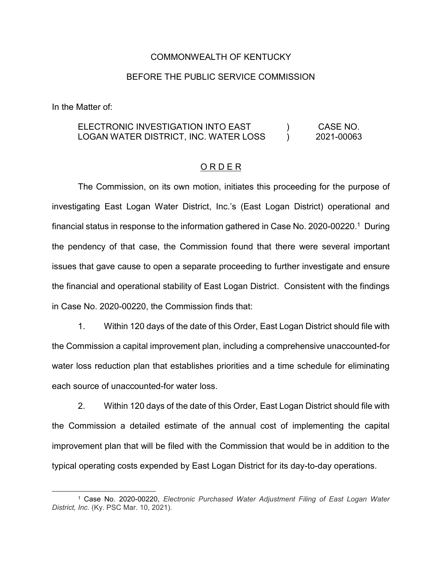#### COMMONWEALTH OF KENTUCKY

## BEFORE THE PUBLIC SERVICE COMMISSION

In the Matter of:

#### ELECTRONIC INVESTIGATION INTO EAST LOGAN WATER DISTRICT, INC. WATER LOSS  $\left( \right)$  $\mathcal{L}$ CASE NO. 2021-00063

## O R D E R

The Commission, on its own motion, initiates this proceeding for the purpose of investigating East Logan Water District, Inc.'s (East Logan District) operational and financial status in response to the information gathered in Case No. 2020-00220. 1 During the pendency of that case, the Commission found that there were several important issues that gave cause to open a separate proceeding to further investigate and ensure the financial and operational stability of East Logan District. Consistent with the findings in Case No. 2020-00220, the Commission finds that:

1. Within 120 days of the date of this Order, East Logan District should file with the Commission a capital improvement plan, including a comprehensive unaccounted-for water loss reduction plan that establishes priorities and a time schedule for eliminating each source of unaccounted-for water loss.

2. Within 120 days of the date of this Order, East Logan District should file with the Commission a detailed estimate of the annual cost of implementing the capital improvement plan that will be filed with the Commission that would be in addition to the typical operating costs expended by East Logan District for its day-to-day operations.

 <sup>1</sup> Case No. 2020-00220, *Electronic Purchased Water Adjustment Filing of East Logan Water District, Inc.* (Ky. PSC Mar. 10, 2021).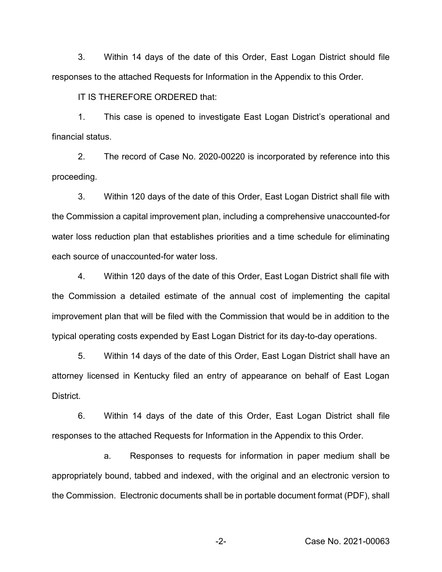3. Within 14 days of the date of this Order, East Logan District should file responses to the attached Requests for Information in the Appendix to this Order.

IT IS THEREFORE ORDERED that:

1. This case is opened to investigate East Logan District's operational and financial status.

2. The record of Case No. 2020-00220 is incorporated by reference into this proceeding.

3. Within 120 days of the date of this Order, East Logan District shall file with the Commission a capital improvement plan, including a comprehensive unaccounted-for water loss reduction plan that establishes priorities and a time schedule for eliminating each source of unaccounted-for water loss.

4. Within 120 days of the date of this Order, East Logan District shall file with the Commission a detailed estimate of the annual cost of implementing the capital improvement plan that will be filed with the Commission that would be in addition to the typical operating costs expended by East Logan District for its day-to-day operations.

5. Within 14 days of the date of this Order, East Logan District shall have an attorney licensed in Kentucky filed an entry of appearance on behalf of East Logan District.

6. Within 14 days of the date of this Order, East Logan District shall file responses to the attached Requests for Information in the Appendix to this Order.

a. Responses to requests for information in paper medium shall be appropriately bound, tabbed and indexed, with the original and an electronic version to the Commission. Electronic documents shall be in portable document format (PDF), shall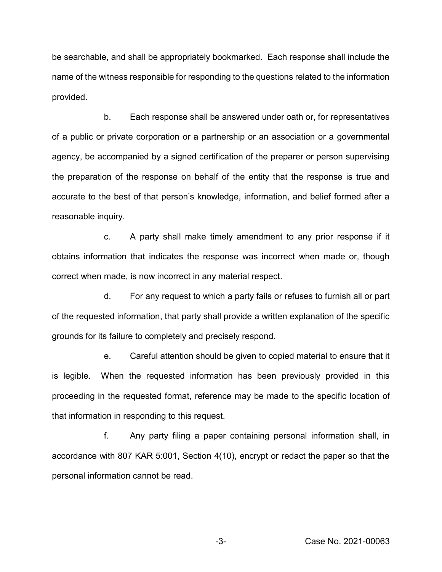be searchable, and shall be appropriately bookmarked. Each response shall include the name of the witness responsible for responding to the questions related to the information provided.

b. Each response shall be answered under oath or, for representatives of a public or private corporation or a partnership or an association or a governmental agency, be accompanied by a signed certification of the preparer or person supervising the preparation of the response on behalf of the entity that the response is true and accurate to the best of that person's knowledge, information, and belief formed after a reasonable inquiry.

c. A party shall make timely amendment to any prior response if it obtains information that indicates the response was incorrect when made or, though correct when made, is now incorrect in any material respect.

d. For any request to which a party fails or refuses to furnish all or part of the requested information, that party shall provide a written explanation of the specific grounds for its failure to completely and precisely respond.

e. Careful attention should be given to copied material to ensure that it is legible. When the requested information has been previously provided in this proceeding in the requested format, reference may be made to the specific location of that information in responding to this request.

f. Any party filing a paper containing personal information shall, in accordance with 807 KAR 5:001, Section 4(10), encrypt or redact the paper so that the personal information cannot be read.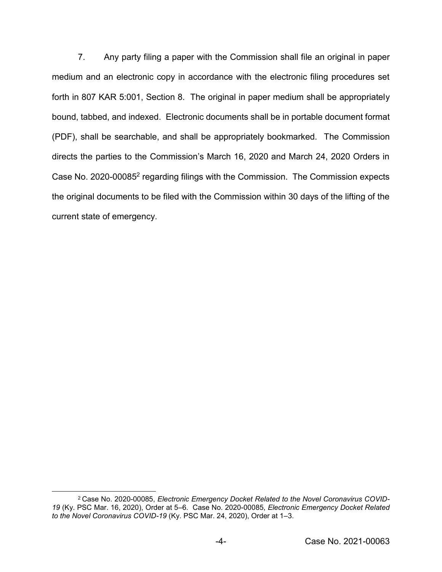7. Any party filing a paper with the Commission shall file an original in paper medium and an electronic copy in accordance with the electronic filing procedures set forth in 807 KAR 5:001, Section 8. The original in paper medium shall be appropriately bound, tabbed, and indexed. Electronic documents shall be in portable document format (PDF), shall be searchable, and shall be appropriately bookmarked. The Commission directs the parties to the Commission's March 16, 2020 and March 24, 2020 Orders in Case No. 2020-000852 regarding filings with the Commission. The Commission expects the original documents to be filed with the Commission within 30 days of the lifting of the current state of emergency.

 <sup>2</sup> Case No. 2020-00085, *Electronic Emergency Docket Related to the Novel Coronavirus COVID-19* (Ky. PSC Mar. 16, 2020), Order at 5–6. Case No. 2020-00085, *Electronic Emergency Docket Related to the Novel Coronavirus COVID-19* (Ky. PSC Mar. 24, 2020), Order at 1–3.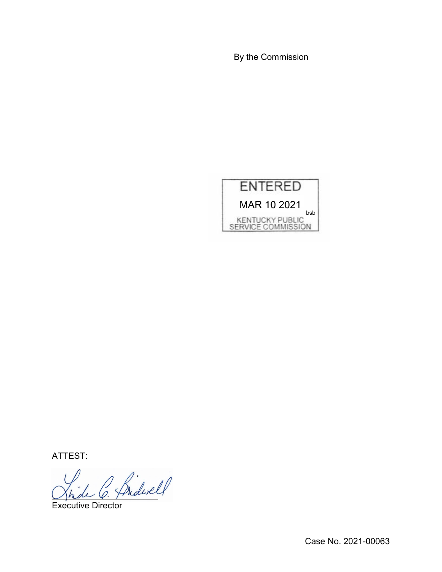By the Commission



ATTEST:

Jhde O. Fridanci

Executive Director

Case No. 2021-00063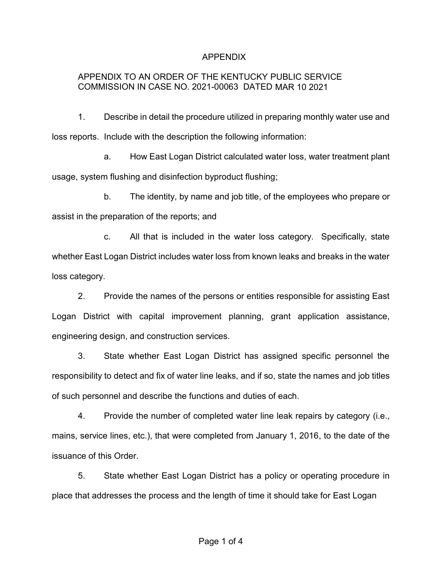## APPENDIX

# APPENDIX TO AN ORDER OF THE KENTUCKY PUBLIC SERVICE COMMISSION IN CASE NO. 2021-00063 DATED MAR 10 2021

1. Describe in detail the procedure utilized in preparing monthly water use and loss reports. Include with the description the following information:

a. How East Logan District calculated water loss, water treatment plant usage, system flushing and disinfection byproduct flushing;

b. The identity, by name and job title, of the employees who prepare or assist in the preparation of the reports; and

c. All that is included in the water loss category. Specifically, state whether East Logan District includes water loss from known leaks and breaks in the water loss category.

2. Provide the names of the persons or entities responsible for assisting East Logan District with capital improvement planning, grant application assistance, engineering design, and construction services.

3. State whether East Logan District has assigned specific personnel the responsibility to detect and fix of water line leaks, and if so, state the names and job titles of such personnel and describe the functions and duties of each.

4. Provide the number of completed water line leak repairs by category (i.e., mains, service lines, etc.), that were completed from January 1, 2016, to the date of the issuance of this Order.

5. State whether East Logan District has a policy or operating procedure in place that addresses the process and the length of time it should take for East Logan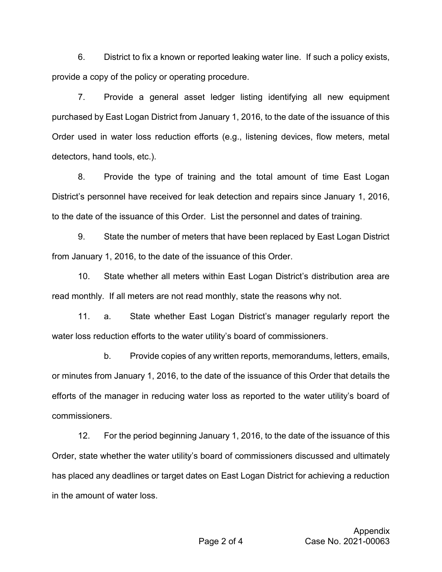6. District to fix a known or reported leaking water line. If such a policy exists, provide a copy of the policy or operating procedure.

7. Provide a general asset ledger listing identifying all new equipment purchased by East Logan District from January 1, 2016, to the date of the issuance of this Order used in water loss reduction efforts (e.g., listening devices, flow meters, metal detectors, hand tools, etc.).

8. Provide the type of training and the total amount of time East Logan District's personnel have received for leak detection and repairs since January 1, 2016, to the date of the issuance of this Order. List the personnel and dates of training.

9. State the number of meters that have been replaced by East Logan District from January 1, 2016, to the date of the issuance of this Order.

10. State whether all meters within East Logan District's distribution area are read monthly. If all meters are not read monthly, state the reasons why not.

11. a. State whether East Logan District's manager regularly report the water loss reduction efforts to the water utility's board of commissioners.

b. Provide copies of any written reports, memorandums, letters, emails, or minutes from January 1, 2016, to the date of the issuance of this Order that details the efforts of the manager in reducing water loss as reported to the water utility's board of commissioners.

12. For the period beginning January 1, 2016, to the date of the issuance of this Order, state whether the water utility's board of commissioners discussed and ultimately has placed any deadlines or target dates on East Logan District for achieving a reduction in the amount of water loss.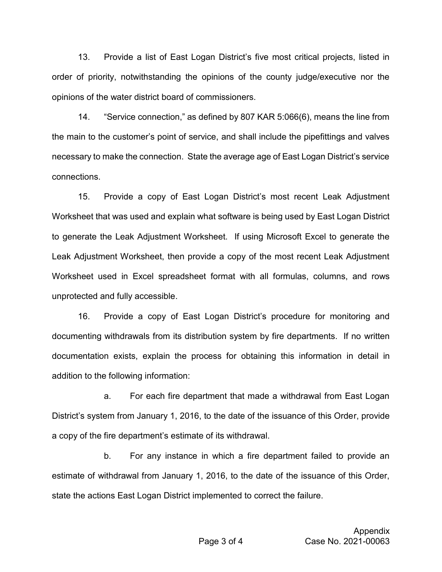13. Provide a list of East Logan District's five most critical projects, listed in order of priority, notwithstanding the opinions of the county judge/executive nor the opinions of the water district board of commissioners.

14. "Service connection," as defined by 807 KAR 5:066(6), means the line from the main to the customer's point of service, and shall include the pipefittings and valves necessary to make the connection. State the average age of East Logan District's service connections.

15. Provide a copy of East Logan District's most recent Leak Adjustment Worksheet that was used and explain what software is being used by East Logan District to generate the Leak Adjustment Worksheet. If using Microsoft Excel to generate the Leak Adjustment Worksheet, then provide a copy of the most recent Leak Adjustment Worksheet used in Excel spreadsheet format with all formulas, columns, and rows unprotected and fully accessible.

16. Provide a copy of East Logan District's procedure for monitoring and documenting withdrawals from its distribution system by fire departments. If no written documentation exists, explain the process for obtaining this information in detail in addition to the following information:

a. For each fire department that made a withdrawal from East Logan District's system from January 1, 2016, to the date of the issuance of this Order, provide a copy of the fire department's estimate of its withdrawal.

b. For any instance in which a fire department failed to provide an estimate of withdrawal from January 1, 2016, to the date of the issuance of this Order, state the actions East Logan District implemented to correct the failure.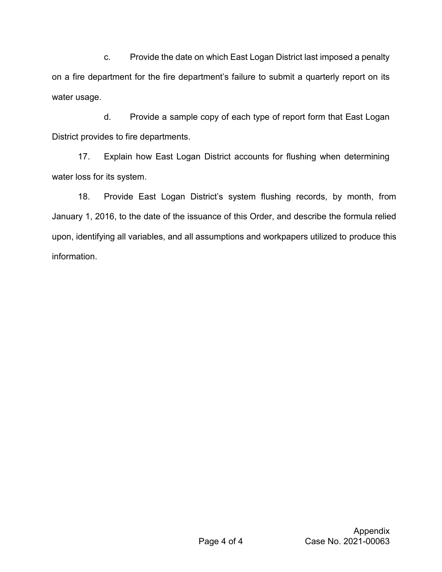c. Provide the date on which East Logan District last imposed a penalty on a fire department for the fire department's failure to submit a quarterly report on its water usage.

d. Provide a sample copy of each type of report form that East Logan District provides to fire departments.

17. Explain how East Logan District accounts for flushing when determining water loss for its system.

18. Provide East Logan District's system flushing records, by month, from January 1, 2016, to the date of the issuance of this Order, and describe the formula relied upon, identifying all variables, and all assumptions and workpapers utilized to produce this information.